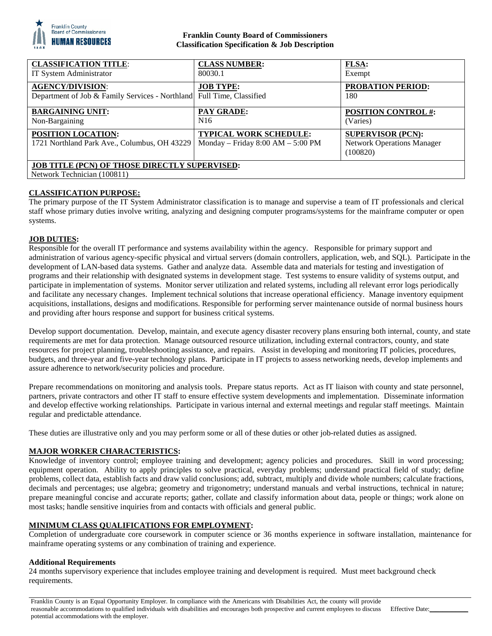

### **Franklin County Board of Commissioners Classification Specification & Job Description**

| <b>CLASSIFICATION TITLE:</b><br>IT System Administrator                                          | <b>CLASS NUMBER:</b><br>80030.1                                        | <b>FLSA:</b><br>Exempt                                                    |
|--------------------------------------------------------------------------------------------------|------------------------------------------------------------------------|---------------------------------------------------------------------------|
| <b>AGENCY/DIVISION:</b><br>Department of Job & Family Services - Northland Full Time, Classified | <b>JOB TYPE:</b>                                                       | <b>PROBATION PERIOD:</b><br>180                                           |
| <b>BARGAINING UNIT:</b><br>Non-Bargaining                                                        | <b>PAY GRADE:</b><br>N <sub>16</sub>                                   | <b>POSITION CONTROL #:</b><br>(Varies)                                    |
| POSITION LOCATION:<br>1721 Northland Park Ave., Columbus, OH 43229                               | <b>TYPICAL WORK SCHEDULE:</b><br>Monday – Friday $8:00$ AM – $5:00$ PM | <b>SUPERVISOR (PCN):</b><br><b>Network Operations Manager</b><br>(100820) |
| <b>JOB TITLE (PCN) OF THOSE DIRECTLY SUPERVISED:</b><br>Network Technician (100811)              |                                                                        |                                                                           |

#### **CLASSIFICATION PURPOSE:**

The primary purpose of the IT System Administrator classification is to manage and supervise a team of IT professionals and clerical staff whose primary duties involve writing, analyzing and designing computer programs/systems for the mainframe computer or open systems.

## **JOB DUTIES:**

Responsible for the overall IT performance and systems availability within the agency. Responsible for primary support and administration of various agency-specific physical and virtual servers (domain controllers, application, web, and SQL). Participate in the development of LAN-based data systems. Gather and analyze data. Assemble data and materials for testing and investigation of programs and their relationship with designated systems in development stage. Test systems to ensure validity of systems output, and participate in implementation of systems. Monitor server utilization and related systems, including all relevant error logs periodically and facilitate any necessary changes. Implement technical solutions that increase operational efficiency. Manage inventory equipment acquisitions, installations, designs and modifications. Responsible for performing server maintenance outside of normal business hours and providing after hours response and support for business critical systems.

Develop support documentation. Develop, maintain, and execute agency disaster recovery plans ensuring both internal, county, and state requirements are met for data protection. Manage outsourced resource utilization, including external contractors, county, and state resources for project planning, troubleshooting assistance, and repairs. Assist in developing and monitoring IT policies, procedures, budgets, and three-year and five-year technology plans. Participate in IT projects to assess networking needs, develop implements and assure adherence to network/security policies and procedure.

Prepare recommendations on monitoring and analysis tools. Prepare status reports. Act as IT liaison with county and state personnel, partners, private contractors and other IT staff to ensure effective system developments and implementation. Disseminate information and develop effective working relationships. Participate in various internal and external meetings and regular staff meetings. Maintain regular and predictable attendance.

These duties are illustrative only and you may perform some or all of these duties or other job-related duties as assigned.

#### **MAJOR WORKER CHARACTERISTICS:**

Knowledge of inventory control; employee training and development; agency policies and procedures. Skill in word processing; equipment operation. Ability to apply principles to solve practical, everyday problems; understand practical field of study; define problems, collect data, establish facts and draw valid conclusions; add, subtract, multiply and divide whole numbers; calculate fractions, decimals and percentages; use algebra; geometry and trigonometry; understand manuals and verbal instructions, technical in nature; prepare meaningful concise and accurate reports; gather, collate and classify information about data, people or things; work alone on most tasks; handle sensitive inquiries from and contacts with officials and general public.

#### **MINIMUM CLASS QUALIFICATIONS FOR EMPLOYMENT:**

Completion of undergraduate core coursework in computer science or 36 months experience in software installation, maintenance for mainframe operating systems or any combination of training and experience.

#### **Additional Requirements**

24 months supervisory experience that includes employee training and development is required. Must meet background check requirements.

Franklin County is an Equal Opportunity Employer. In compliance with the Americans with Disabilities Act, the county will provide reasonable accommodations to qualified individuals with disabilities and encourages both prospective and current employees to discuss potential accommodations with the employer. Effective Date: